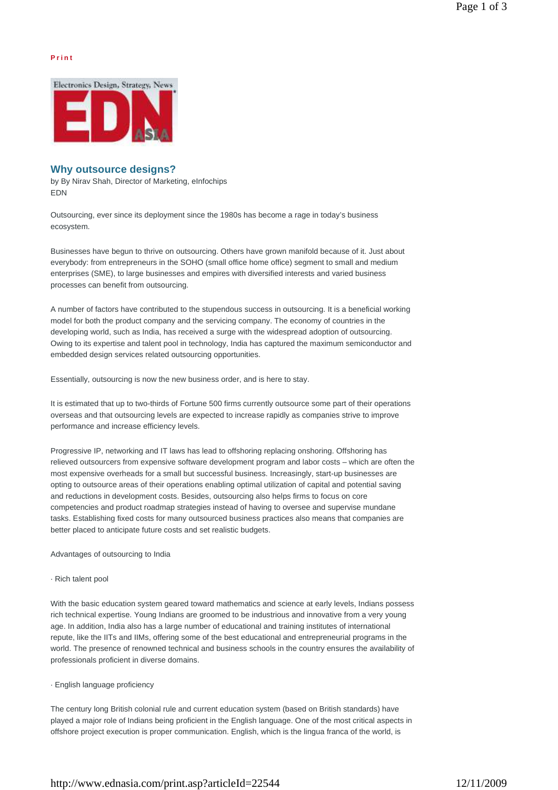### **P r i n t**



# **Why outsource designs?**

by By Nirav Shah, Director of Marketing, eInfochips EDN

Outsourcing, ever since its deployment since the 1980s has become a rage in today's business ecosystem.

Businesses have begun to thrive on outsourcing. Others have grown manifold because of it. Just about everybody: from entrepreneurs in the SOHO (small office home office) segment to small and medium enterprises (SME), to large businesses and empires with diversified interests and varied business processes can benefit from outsourcing.

A number of factors have contributed to the stupendous success in outsourcing. It is a beneficial working model for both the product company and the servicing company. The economy of countries in the developing world, such as India, has received a surge with the widespread adoption of outsourcing. Owing to its expertise and talent pool in technology, India has captured the maximum semiconductor and embedded design services related outsourcing opportunities.

Essentially, outsourcing is now the new business order, and is here to stay.

It is estimated that up to two-thirds of Fortune 500 firms currently outsource some part of their operations overseas and that outsourcing levels are expected to increase rapidly as companies strive to improve performance and increase efficiency levels.

Progressive IP, networking and IT laws has lead to offshoring replacing onshoring. Offshoring has relieved outsourcers from expensive software development program and labor costs – which are often the most expensive overheads for a small but successful business. Increasingly, start-up businesses are opting to outsource areas of their operations enabling optimal utilization of capital and potential saving and reductions in development costs. Besides, outsourcing also helps firms to focus on core competencies and product roadmap strategies instead of having to oversee and supervise mundane tasks. Establishing fixed costs for many outsourced business practices also means that companies are better placed to anticipate future costs and set realistic budgets.

Advantages of outsourcing to India

## · Rich talent pool

With the basic education system geared toward mathematics and science at early levels, Indians possess rich technical expertise. Young Indians are groomed to be industrious and innovative from a very young age. In addition, India also has a large number of educational and training institutes of international repute, like the IITs and IIMs, offering some of the best educational and entrepreneurial programs in the world. The presence of renowned technical and business schools in the country ensures the availability of professionals proficient in diverse domains.

### · English language proficiency

The century long British colonial rule and current education system (based on British standards) have played a major role of Indians being proficient in the English language. One of the most critical aspects in offshore project execution is proper communication. English, which is the lingua franca of the world, is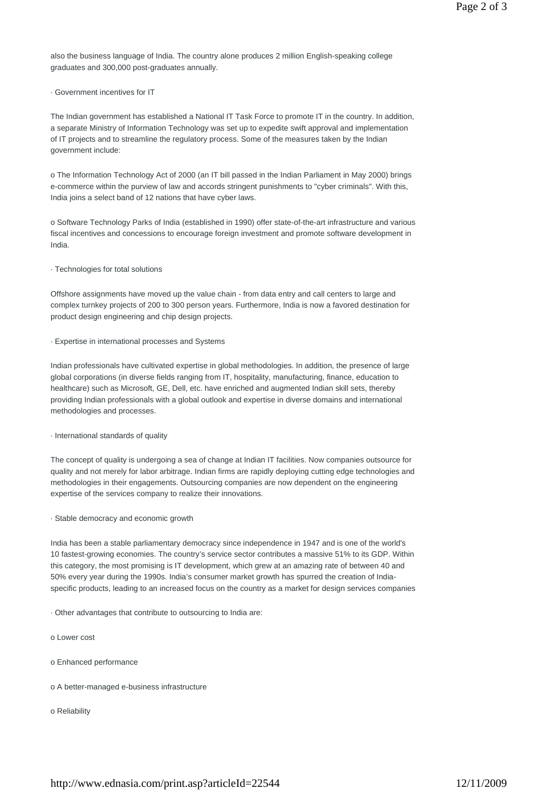also the business language of India. The country alone produces 2 million English-speaking college graduates and 300,000 post-graduates annually.

· Government incentives for IT

The Indian government has established a National IT Task Force to promote IT in the country. In addition, a separate Ministry of Information Technology was set up to expedite swift approval and implementation of IT projects and to streamline the regulatory process. Some of the measures taken by the Indian government include:

o The Information Technology Act of 2000 (an IT bill passed in the Indian Parliament in May 2000) brings e-commerce within the purview of law and accords stringent punishments to "cyber criminals". With this, India joins a select band of 12 nations that have cyber laws.

o Software Technology Parks of India (established in 1990) offer state-of-the-art infrastructure and various fiscal incentives and concessions to encourage foreign investment and promote software development in India.

· Technologies for total solutions

Offshore assignments have moved up the value chain - from data entry and call centers to large and complex turnkey projects of 200 to 300 person years. Furthermore, India is now a favored destination for product design engineering and chip design projects.

· Expertise in international processes and Systems

Indian professionals have cultivated expertise in global methodologies. In addition, the presence of large global corporations (in diverse fields ranging from IT, hospitality, manufacturing, finance, education to healthcare) such as Microsoft, GE, Dell, etc. have enriched and augmented Indian skill sets, thereby providing Indian professionals with a global outlook and expertise in diverse domains and international methodologies and processes.

· International standards of quality

The concept of quality is undergoing a sea of change at Indian IT facilities. Now companies outsource for quality and not merely for labor arbitrage. Indian firms are rapidly deploying cutting edge technologies and methodologies in their engagements. Outsourcing companies are now dependent on the engineering expertise of the services company to realize their innovations.

· Stable democracy and economic growth

India has been a stable parliamentary democracy since independence in 1947 and is one of the world's 10 fastest-growing economies. The country's service sector contributes a massive 51% to its GDP. Within this category, the most promising is IT development, which grew at an amazing rate of between 40 and 50% every year during the 1990s. India's consumer market growth has spurred the creation of Indiaspecific products, leading to an increased focus on the country as a market for design services companies

· Other advantages that contribute to outsourcing to India are:

- o Lower cost
- o Enhanced performance
- o A better-managed e-business infrastructure
- o Reliability